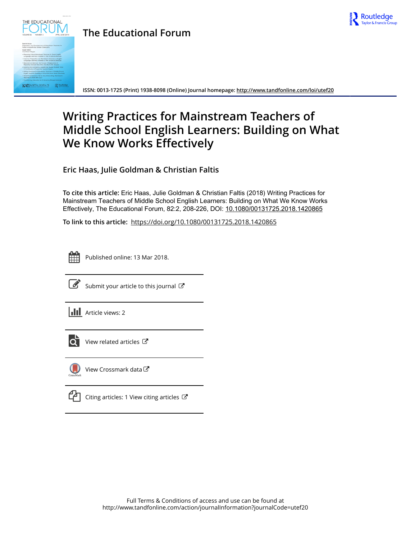

# **The Educational Forum**



**ISSN: 0013-1725 (Print) 1938-8098 (Online) Journal homepage:<http://www.tandfonline.com/loi/utef20>**

# **Writing Practices for Mainstream Teachers of Middle School English Learners: Building on What We Know Works Effectively**

**Eric Haas, Julie Goldman & Christian Faltis**

**To cite this article:** Eric Haas, Julie Goldman & Christian Faltis (2018) Writing Practices for Mainstream Teachers of Middle School English Learners: Building on What We Know Works Effectively, The Educational Forum, 82:2, 208-226, DOI: [10.1080/00131725.2018.1420865](http://www.tandfonline.com/action/showCitFormats?doi=10.1080/00131725.2018.1420865)

**To link to this article:** <https://doi.org/10.1080/00131725.2018.1420865>



Published online: 13 Mar 2018.



 $\mathbb{Z}$  [Submit your article to this journal](http://www.tandfonline.com/action/authorSubmission?journalCode=utef20&show=instructions)  $\mathbb{Z}$ 





 $\overline{Q}$  [View related articles](http://www.tandfonline.com/doi/mlt/10.1080/00131725.2018.1420865)  $\overline{C}$ 



[View Crossmark data](http://crossmark.crossref.org/dialog/?doi=10.1080/00131725.2018.1420865&domain=pdf&date_stamp=2018-03-13)<sup>C</sup>

 $\mathbb{C}$  [Citing articles: 1 View citing articles](http://www.tandfonline.com/doi/citedby/10.1080/00131725.2018.1420865#tabModule)  $\mathbb{C}$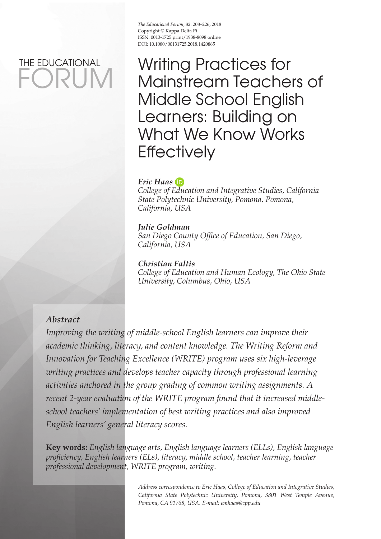# FORUM THE EDUCATIONAL

The Educational Forum, 82: 208-226, 2018 Copyright © Kappa Delta Pi ISSN: 0013-1725 print/ 1938-8098 online DOI: 10.1080/00131725.2018.1420865

Writing Practices for Mainstream Teachers of Middle School English Learners: Building on What We Know Works **Effectively** 

# *Eric Haas*

 *College of Education and Integrative Studies , California State Polytechnic University , Pomona, Pomona , California , USA* 

#### *Julie Goldman*

*San Diego County Office of Education, San Diego, California , USA* 

 *Christian Faltis College of Education and Human Ecology, The Ohio State University, Columbus, Ohio, USA* 

# *Abstract*

 *Improving the writing of middle-school English learners can improve their academic thinking, literacy, and content knowledge. The Writing Reform and Innovation for Teaching Excellence (WRITE) program uses six high-leverage writing practices and develops teacher capacity through professional learning activities anchored in the group grading of common writing assignments. A recent 2-year evaluation of the WRITE program found that it increased middleschool teachers' implementation of best writing practices and also improved English learners' general literacy scores.* 

**Key words :** *English language arts , English language learners (ELLs) , English language profi ciency , English learners (ELs) , literacy , middle school , teacher learning , teacher professional development , WRITE program , writing .* 

> Address correspondence to Eric Haas, College of Education and Integrative Studies, California State Polytechnic University, Pomona, 3801 West Temple Avenue,  *Pomona , CA 91768 , USA . E-mail: emhaas@cpp.edu*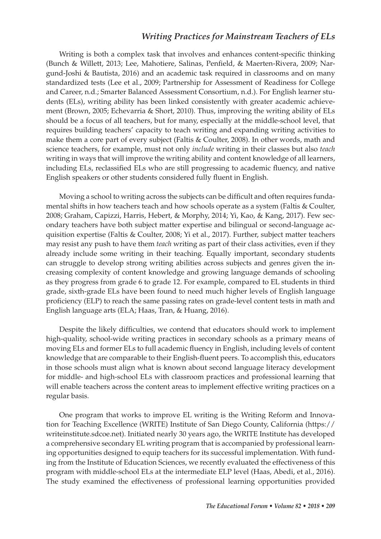Writing is both a complex task that involves and enhances content-specific thinking (Bunch & Willett, 2013; Lee, Mahotiere, Salinas, Penfield, & Maerten-Rivera, 2009; Nargund-Joshi & Bautista, 2016 ) and an academic task required in classrooms and on many standardized tests (Lee et al., 2009; Partnership for Assessment of Readiness for College and Career, n.d.; Smarter Balanced Assessment Consortium, n.d.). For English learner students (ELs), writing ability has been linked consistently with greater academic achievement (Brown, 2005; Echevarria & Short, 2010). Thus, improving the writing ability of ELs should be a focus of all teachers, but for many, especially at the middle-school level, that requires building teachers' capacity to teach writing and expanding writing activities to make them a core part of every subject (Faltis & Coulter, 2008 ). In other words, math and science teachers, for example, must not only *include* writing in their classes but also *teach* writing in ways that will improve the writing ability and content knowledge of all learners, including ELs, reclassified ELs who are still progressing to academic fluency, and native English speakers or other students considered fully fluent in English.

Moving a school to writing across the subjects can be difficult and often requires fundamental shifts in how teachers teach and how schools operate as a system (Faltis & Coulter, 2008; Graham, Capizzi, Harris, Hebert, & Morphy, 2014; Yi, Kao, & Kang, 2017). Few secondary teachers have both subject matter expertise and bilingual or second-language acquisition expertise (Faltis & Coulter, 2008; Yi et al., 2017). Further, subject matter teachers may resist any push to have them *teach* writing as part of their class activities, even if they already include some writing in their teaching. Equally important, secondary students can struggle to develop strong writing abilities across subjects and genres given the increasing complexity of content knowledge and growing language demands of schooling as they progress from grade 6 to grade 12. For example, compared to EL students in third grade, sixth-grade ELs have been found to need much higher levels of English language proficiency (ELP) to reach the same passing rates on grade-level content tests in math and English language arts (ELA; Haas, Tran, & Huang, 2016).

Despite the likely difficulties, we contend that educators should work to implement high-quality, school-wide writing practices in secondary schools as a primary means of moving ELs and former ELs to full academic fluency in English, including levels of content knowledge that are comparable to their English-fluent peers. To accomplish this, educators in those schools must align what is known about second language literacy development for middle- and high-school ELs with classroom practices and professional learning that will enable teachers across the content areas to implement effective writing practices on a regular basis.

 One program that works to improve EL writing is the Writing Reform and Innovation for Teaching Excellence (WRITE) Institute of San Diego County, California ( https:// writeinstitute.sdcoe.net). Initiated nearly 30 years ago, the WRITE Institute has developed a comprehensive secondary EL writing program that is accompanied by professional learning opportunities designed to equip teachers for its successful implementation. With funding from the Institute of Education Sciences, we recently evaluated the effectiveness of this program with middle-school ELs at the intermediate ELP level (Haas, Abedi, et al., 2016). The study examined the effectiveness of professional learning opportunities provided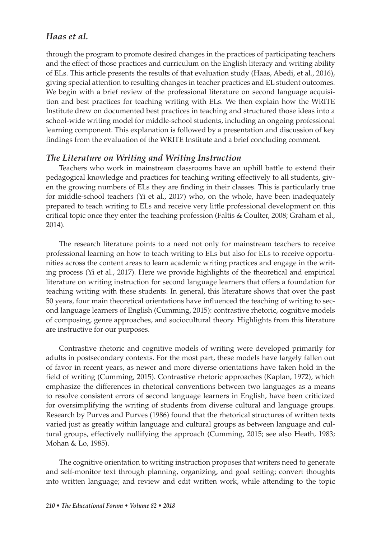through the program to promote desired changes in the practices of participating teachers and the effect of those practices and curriculum on the English literacy and writing ability of ELs. This article presents the results of that evaluation study (Haas, Abedi, et al., 2016), giving special attention to resulting changes in teacher practices and EL student outcomes. We begin with a brief review of the professional literature on second language acquisition and best practices for teaching writing with ELs. We then explain how the WRITE Institute drew on documented best practices in teaching and structured those ideas into a school-wide writing model for middle-school students, including an ongoing professional learning component. This explanation is followed by a presentation and discussion of key findings from the evaluation of the WRITE Institute and a brief concluding comment.

#### *The Literature on Writing and Writing Instruction*

 Teachers who work in mainstream classrooms have an uphill battle to extend their pedagogical knowledge and practices for teaching writing effectively to all students, given the growing numbers of ELs they are finding in their classes. This is particularly true for middle-school teachers (Yi et al., 2017 ) who, on the whole, have been inadequately prepared to teach writing to ELs and receive very little professional development on this critical topic once they enter the teaching profession (Faltis  $\&$  Coulter, 2008; Graham et al.,  $2014$ .

 The research literature points to a need not only for mainstream teachers to receive professional learning on how to teach writing to ELs but also for ELs to receive opportunities across the content areas to learn academic writing practices and engage in the writing process (Yi et al., 2017 ). Here we provide highlights of the theoretical and empirical literature on writing instruction for second language learners that offers a foundation for teaching writing with these students. In general, this literature shows that over the past 50 years, four main theoretical orientations have influenced the teaching of writing to second language learners of English (Cumming, 2015 ): contrastive rhetoric, cognitive models of composing, genre approaches, and sociocultural theory. Highlights from this literature are instructive for our purposes.

 Contrastive rhetoric and cognitive models of writing were developed primarily for adults in postsecondary contexts. For the most part, these models have largely fallen out of favor in recent years, as newer and more diverse orientations have taken hold in the field of writing (Cumming, 2015). Contrastive rhetoric approaches (Kaplan, 1972), which emphasize the differences in rhetorical conventions between two languages as a means to resolve consistent errors of second language learners in English, have been criticized for oversimplifying the writing of students from diverse cultural and language groups. Research by Purves and Purves (1986) found that the rhetorical structures of written texts varied just as greatly within language and cultural groups as between language and cultural groups, effectively nullifying the approach (Cumming, 2015; see also Heath, 1983; Mohan & Lo, 1985).

 The cognitive orientation to writing instruction proposes that writers need to generate and self-monitor text through planning, organizing, and goal setting; convert thoughts into written language; and review and edit written work, while attending to the topic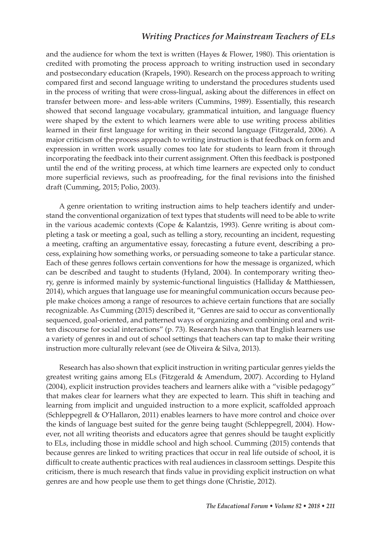and the audience for whom the text is written (Hayes & Flower, 1980). This orientation is credited with promoting the process approach to writing instruction used in secondary and postsecondary education (Krapels, 1990). Research on the process approach to writing compared first and second language writing to understand the procedures students used in the process of writing that were cross-lingual, asking about the differences in effect on transfer between more- and less-able writers (Cummins, 1989). Essentially, this research showed that second language vocabulary, grammatical intuition, and language fluency were shaped by the extent to which learners were able to use writing process abilities learned in their first language for writing in their second language (Fitzgerald, 2006). A major criticism of the process approach to writing instruction is that feedback on form and expression in written work usually comes too late for students to learn from it through incorporating the feedback into their current assignment. Often this feedback is postponed until the end of the writing process, at which time learners are expected only to conduct more superficial reviews, such as proofreading, for the final revisions into the finished draft (Cumming, 2015; Polio, 2003).

 A genre orientation to writing instruction aims to help teachers identify and understand the conventional organization of text types that students will need to be able to write in the various academic contexts (Cope & Kalantzis, 1993). Genre writing is about completing a task or meeting a goal, such as telling a story, recounting an incident, requesting a meeting, crafting an argumentative essay, forecasting a future event, describing a process, explaining how something works, or persuading someone to take a particular stance. Each of these genres follows certain conventions for how the message is organized, which can be described and taught to students (Hyland, 2004). In contemporary writing theory, genre is informed mainly by systemic-functional linguistics (Halliday & Matthiessen, 2014), which argues that language use for meaningful communication occurs because people make choices among a range of resources to achieve certain functions that are socially recognizable. As Cumming (2015) described it, "Genres are said to occur as conventionally sequenced, goal-oriented, and patterned ways of organizing and combining oral and written discourse for social interactions" (p. 73). Research has shown that English learners use a variety of genres in and out of school settings that teachers can tap to make their writing instruction more culturally relevant (see de Oliveira & Silva, 2013).

 Research has also shown that explicit instruction in writing particular genres yields the greatest writing gains among ELs (Fitzgerald & Amendum, 2007 ). According to Hyland (2004), explicit instruction provides teachers and learners alike with a "visible pedagogy" that makes clear for learners what they are expected to learn. This shift in teaching and learning from implicit and unguided instruction to a more explicit, scaffolded approach (Schleppegrell & O'Hallaron, 2011 ) enables learners to have more control and choice over the kinds of language best suited for the genre being taught (Schleppegrell, 2004). However, not all writing theorists and educators agree that genres should be taught explicitly to ELs, including those in middle school and high school. Cumming (2015) contends that because genres are linked to writing practices that occur in real life outside of school, it is difficult to create authentic practices with real audiences in classroom settings. Despite this criticism, there is much research that finds value in providing explicit instruction on what genres are and how people use them to get things done (Christie, 2012).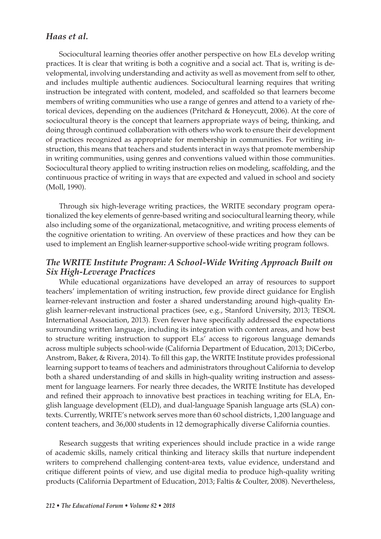Sociocultural learning theories offer another perspective on how ELs develop writing practices. It is clear that writing is both a cognitive and a social act. That is, writing is developmental, involving understanding and activity as well as movement from self to other, and includes multiple authentic audiences. Sociocultural learning requires that writing instruction be integrated with content, modeled, and scaffolded so that learners become members of writing communities who use a range of genres and attend to a variety of rhetorical devices, depending on the audiences (Pritchard & Honeycutt, 2006). At the core of sociocultural theory is the concept that learners appropriate ways of being, thinking, and doing through continued collaboration with others who work to ensure their development of practices recognized as appropriate for membership in communities. For writing instruction, this means that teachers and students interact in ways that promote membership in writing communities, using genres and conventions valued within those communities. Sociocultural theory applied to writing instruction relies on modeling, scaffolding, and the continuous practice of writing in ways that are expected and valued in school and society (Moll, 1990).

 Through six high-leverage writing practices, the WRITE secondary program operationalized the key elements of genre-based writing and sociocultural learning theory, while also including some of the organizational, metacognitive, and writing process elements of the cognitive orientation to writing. An overview of these practices and how they can be used to implement an English learner-supportive school-wide writing program follows.

# *The WRITE Institute Program: A School-Wide Writing Approach Built on Six High-Leverage Practices*

 While educational organizations have developed an array of resources to support teachers' implementation of writing instruction, few provide direct guidance for English learner-relevant instruction and foster a shared understanding around high-quality English learner-relevant instructional practices (see, e.g., Stanford University, 2013; TESOL International Association, 2013). Even fewer have specifically addressed the expectations surrounding written language, including its integration with content areas, and how best to structure writing instruction to support ELs' access to rigorous language demands across multiple subjects school-wide (California Department of Education, 2013; DiCerbo, Anstrom, Baker, & Rivera, 2014). To fill this gap, the WRITE Institute provides professional learning support to teams of teachers and administrators throughout California to develop both a shared understanding of and skills in high-quality writing instruction and assessment for language learners. For nearly three decades, the WRITE Institute has developed and refined their approach to innovative best practices in teaching writing for ELA, English language development (ELD), and dual-language Spanish language arts (SLA) contexts. Currently, WRITE's network serves more than 60 school districts, 1,200 language and content teachers, and 36,000 students in 12 demographically diverse California counties.

 Research suggests that writing experiences should include practice in a wide range of academic skills, namely critical thinking and literacy skills that nurture independent writers to comprehend challenging content-area texts, value evidence, understand and critique different points of view, and use digital media to produce high-quality writing products (California Department of Education, 2013; Faltis & Coulter, 2008). Nevertheless,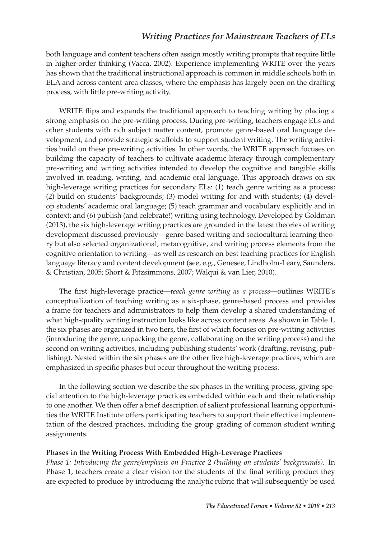both language and content teachers often assign mostly writing prompts that require little in higher-order thinking (Vacca, 2002). Experience implementing WRITE over the years has shown that the traditional instructional approach is common in middle schools both in ELA and across content-area classes, where the emphasis has largely been on the drafting process, with little pre-writing activity.

WRITE flips and expands the traditional approach to teaching writing by placing a strong emphasis on the pre-writing process. During pre-writing, teachers engage ELs and other students with rich subject matter content, promote genre-based oral language development, and provide strategic scaffolds to support student writing. The writing activities build on these pre-writing activities. In other words, the WRITE approach focuses on building the capacity of teachers to cultivate academic literacy through complementary pre-writing and writing activities intended to develop the cognitive and tangible skills involved in reading, writing, and academic oral language. This approach draws on six high-leverage writing practices for secondary ELs: (1) teach genre writing as a process; (2) build on students' backgrounds; (3) model writing for and with students; (4) develop students' academic oral language; (5) teach grammar and vocabulary explicitly and in context; and (6) publish (and celebrate!) writing using technology. Developed by Goldman (2013), the six high-leverage writing practices are grounded in the latest theories of writing development discussed previously—genre-based writing and sociocultural learning theory but also selected organizational, metacognitive, and writing process elements from the cognitive orientation to writing—as well as research on best teaching practices for English language literacy and content development (see, e.g., Genesee, Lindholm-Leary, Saunders, & Christian, 2005; Short & Fitzsimmons, 2007; Walqui & van Lier, 2010).

The first high-leverage practice—*teach genre writing as a process*—outlines WRITE's conceptualization of teaching writing as a six-phase, genre-based process and provides a frame for teachers and administrators to help them develop a shared understanding of what high-quality writing instruction looks like across content areas. As shown in Table 1, the six phases are organized in two tiers, the first of which focuses on pre-writing activities (introducing the genre, unpacking the genre, collaborating on the writing process) and the second on writing activities, including publishing students' work (drafting, revising, publishing). Nested within the six phases are the other five high-leverage practices, which are emphasized in specific phases but occur throughout the writing process.

 In the following section we describe the six phases in the writing process, giving special attention to the high-leverage practices embedded within each and their relationship to one another. We then offer a brief description of salient professional learning opportunities the WRITE Institute offers participating teachers to support their effective implementation of the desired practices, including the group grading of common student writing assignments.

#### **Phases in the Writing Process With Embedded High-Leverage Practices**

 *Phase 1: Introducing the genre/emphasis on Practice 2 (building on students' backgrounds).* In Phase 1, teachers create a clear vision for the students of the final writing product they are expected to produce by introducing the analytic rubric that will subsequently be used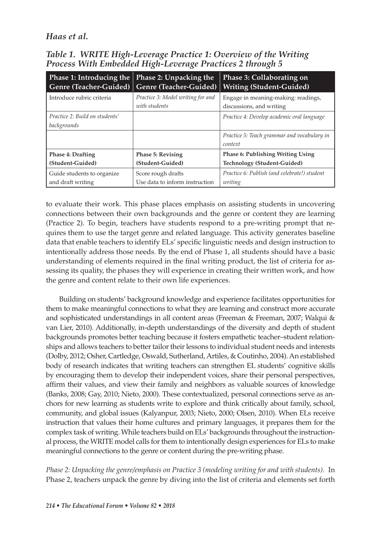| <b>Phase 1: Introducing the</b>               | Phase 2: Unpacking the                             | Phase 3: Collaborating on                                       |
|-----------------------------------------------|----------------------------------------------------|-----------------------------------------------------------------|
| Genre (Teacher-Guided)                        | Genre (Teacher-Guided)                             | <b>Writing (Student-Guided)</b>                                 |
| Introduce rubric criteria                     | Practice 3: Model writing for and<br>with students | Engage in meaning-making: readings,<br>discussions, and writing |
| Practice 2: Build on students'<br>backgrounds |                                                    | Practice 4: Develop academic oral language                      |
|                                               |                                                    | Practice 5: Teach grammar and vocabulary in<br>context          |
| <b>Phase 4: Drafting</b>                      | <b>Phase 5: Revising</b>                           | <b>Phase 6: Publishing Writing Using</b>                        |
| (Student-Guided)                              | (Student-Guided)                                   | Technology (Student-Guided)                                     |
| Guide students to organize                    | Score rough drafts                                 | Practice 6: Publish (and celebrate!) student                    |
| and draft writing                             | Use data to inform instruction                     | writing                                                         |

 *Table 1. WRITE High-Leverage Practice 1: Overview of the Writing Process With Embedded High-Leverage Practices 2 through 5* 

to evaluate their work. This phase places emphasis on assisting students in uncovering connections between their own backgrounds and the genre or content they are learning (Practice 2). To begin, teachers have students respond to a pre-writing prompt that requires them to use the target genre and related language. This activity generates baseline data that enable teachers to identify ELs' specific linguistic needs and design instruction to intentionally address those needs. By the end of Phase 1, all students should have a basic understanding of elements required in the final writing product, the list of criteria for assessing its quality, the phases they will experience in creating their written work, and how the genre and content relate to their own life experiences.

 Building on students' background knowledge and experience facilitates opportunities for them to make meaningful connections to what they are learning and construct more accurate and sophisticated understandings in all content areas (Freeman & Freeman, 2007; Walqui & van Lier, 2010). Additionally, in-depth understandings of the diversity and depth of student backgrounds promotes better teaching because it fosters empathetic teacher–student relationships and allows teachers to better tailor their lessons to individual student needs and interests (Dolby, 2012 ; Osher, Cartledge, Oswald, Sutherland, Artiles, & Coutinho, 2004 ). An established body of research indicates that writing teachers can strengthen EL students' cognitive skills by encouraging them to develop their independent voices, share their personal perspectives, affirm their values, and view their family and neighbors as valuable sources of knowledge (Banks, 2008; Gay, 2010; Nieto, 2000). These contextualized, personal connections serve as anchors for new learning as students write to explore and think critically about family, school, community, and global issues (Kalyanpur, 2003; Nieto, 2000; Olsen, 2010). When ELs receive instruction that values their home cultures and primary languages, it prepares them for the complex task of writing. While teachers build on ELs' backgrounds throughout the instructional process, the WRITE model calls for them to intentionally design experiences for ELs to make meaningful connections to the genre or content during the pre-writing phase.

 *Phase 2: Unpacking the genre/emphasis on Practice 3 (modeling writing for and with students).* In Phase 2, teachers unpack the genre by diving into the list of criteria and elements set forth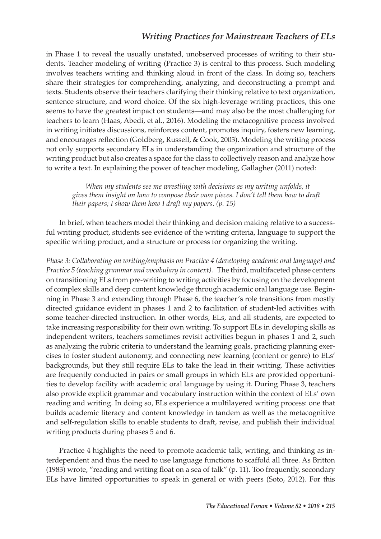in Phase 1 to reveal the usually unstated, unobserved processes of writing to their students. Teacher modeling of writing (Practice 3) is central to this process. Such modeling involves teachers writing and thinking aloud in front of the class. In doing so, teachers share their strategies for comprehending, analyzing, and deconstructing a prompt and texts. Students observe their teachers clarifying their thinking relative to text organization, sentence structure, and word choice. Of the six high-leverage writing practices, this one seems to have the greatest impact on students—and may also be the most challenging for teachers to learn (Haas, Abedi, et al., 2016). Modeling the metacognitive process involved in writing initiates discussions, reinforces content, promotes inquiry, fosters new learning, and encourages reflection (Goldberg, Russell, & Cook, 2003). Modeling the writing process not only supports secondary ELs in understanding the organization and structure of the writing product but also creates a space for the class to collectively reason and analyze how to write a text. In explaining the power of teacher modeling, Gallagher (2011) noted:

 *When my students see me wrestling with decisions as my writing unfolds, it gives them insight on how to compose their own pieces. I don't tell them how to draft their papers; I show them how I draft my papers. (p. 15)* 

 In brief, when teachers model their thinking and decision making relative to a successful writing product, students see evidence of the writing criteria, language to support the specific writing product, and a structure or process for organizing the writing.

 *Phase 3: Collaborating on writing/emphasis on Practice 4 (developing academic oral language) and Practice 5 (teaching grammar and vocabulary in context).* The third, multifaceted phase centers on transitioning ELs from pre-writing to writing activities by focusing on the development of complex skills and deep content knowledge through academic oral language use. Beginning in Phase 3 and extending through Phase 6, the teacher's role transitions from mostly directed guidance evident in phases 1 and 2 to facilitation of student-led activities with some teacher-directed instruction. In other words, ELs, and all students, are expected to take increasing responsibility for their own writing. To support ELs in developing skills as independent writers, teachers sometimes revisit activities begun in phases 1 and 2, such as analyzing the rubric criteria to understand the learning goals, practicing planning exercises to foster student autonomy, and connecting new learning (content or genre) to ELs' backgrounds, but they still require ELs to take the lead in their writing. These activities are frequently conducted in pairs or small groups in which ELs are provided opportunities to develop facility with academic oral language by using it. During Phase 3, teachers also provide explicit grammar and vocabulary instruction within the context of ELs' own reading and writing. In doing so, ELs experience a multilayered writing process: one that builds academic literacy and content knowledge in tandem as well as the metacognitive and self-regulation skills to enable students to draft, revise, and publish their individual writing products during phases 5 and 6.

 Practice 4 highlights the need to promote academic talk, writing, and thinking as interdependent and thus the need to use language functions to scaffold all three. As Britton  $(1983)$  wrote, "reading and writing float on a sea of talk" (p. 11). Too frequently, secondary ELs have limited opportunities to speak in general or with peers (Soto, 2012). For this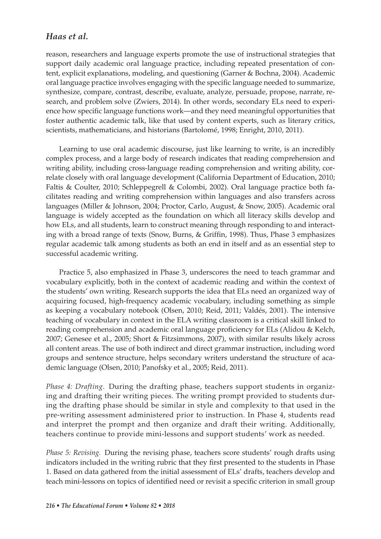reason, researchers and language experts promote the use of instructional strategies that support daily academic oral language practice, including repeated presentation of content, explicit explanations, modeling, and questioning (Garner & Bochna, 2004). Academic oral language practice involves engaging with the specific language needed to summarize, synthesize, compare, contrast, describe, evaluate, analyze, persuade, propose, narrate, research, and problem solve (Zwiers, 2014). In other words, secondary ELs need to experience how specific language functions work—and they need meaningful opportunities that foster authentic academic talk, like that used by content experts, such as literary critics, scientists, mathematicians, and historians (Bartolomé, 1998; Enright, 2010, 2011).

 Learning to use oral academic discourse, just like learning to write, is an incredibly complex process, and a large body of research indicates that reading comprehension and writing ability, including cross-language reading comprehension and writing ability, correlate closely with oral language development (California Department of Education, 2010; Faltis & Coulter, 2010; Schleppegrell & Colombi, 2002). Oral language practice both facilitates reading and writing comprehension within languages and also transfers across languages (Miller & Johnson, 2004; Proctor, Carlo, August, & Snow, 2005). Academic oral language is widely accepted as the foundation on which all literacy skills develop and how ELs, and all students, learn to construct meaning through responding to and interacting with a broad range of texts (Snow, Burns, & Griffin, 1998). Thus, Phase 3 emphasizes regular academic talk among students as both an end in itself and as an essential step to successful academic writing.

 Practice 5, also emphasized in Phase 3, underscores the need to teach grammar and vocabulary explicitly, both in the context of academic reading and within the context of the students' own writing. Research supports the idea that ELs need an organized way of acquiring focused, high-frequency academic vocabulary, including something as simple as keeping a vocabulary notebook (Olsen, 2010; Reid, 2011; Valdés, 2001). The intensive teaching of vocabulary in context in the ELA writing classroom is a critical skill linked to reading comprehension and academic oral language proficiency for ELs (Alidou & Kelch, 2007; Genesee et al., 2005; Short & Fitzsimmons, 2007), with similar results likely across all content areas. The use of both indirect and direct grammar instruction, including word groups and sentence structure, helps secondary writers understand the structure of academic language (Olsen, 2010; Panofsky et al., 2005; Reid, 2011).

 *Phase 4: Drafting.* During the drafting phase, teachers support students in organizing and drafting their writing pieces. The writing prompt provided to students during the drafting phase should be similar in style and complexity to that used in the pre-writing assessment administered prior to instruction. In Phase 4, students read and interpret the prompt and then organize and draft their writing. Additionally, teachers continue to provide mini-lessons and support students' work as needed.

 *Phase 5: Revising.* During the revising phase, teachers score students' rough drafts using indicators included in the writing rubric that they first presented to the students in Phase 1. Based on data gathered from the initial assessment of ELs' drafts, teachers develop and teach mini-lessons on topics of identified need or revisit a specific criterion in small group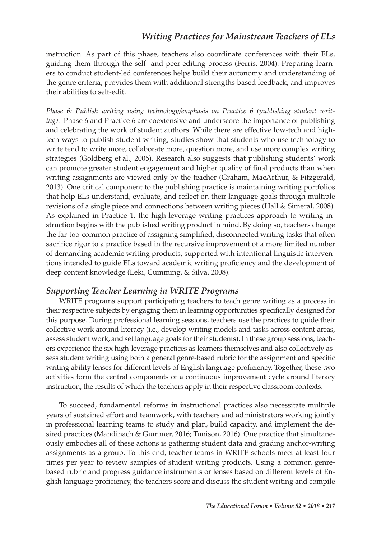instruction. As part of this phase, teachers also coordinate conferences with their ELs, guiding them through the self- and peer-editing process (Ferris, 2004). Preparing learners to conduct student-led conferences helps build their autonomy and understanding of the genre criteria, provides them with additional strengths-based feedback, and improves their abilities to self-edit.

 *Phase 6: Publish writing using technology/emphasis on Practice 6 (publishing student writing*). Phase 6 and Practice 6 are coextensive and underscore the importance of publishing and celebrating the work of student authors. While there are effective low-tech and hightech ways to publish student writing, studies show that students who use technology to write tend to write more, collaborate more, question more, and use more complex writing strategies (Goldberg et al., 2005). Research also suggests that publishing students' work can promote greater student engagement and higher quality of final products than when writing assignments are viewed only by the teacher (Graham, MacArthur, & Fitzgerald, 2013 ). One critical component to the publishing practice is maintaining writing portfolios that help ELs understand, evaluate, and reflect on their language goals through multiple revisions of a single piece and connections between writing pieces (Hall & Simeral, 2008). As explained in Practice 1, the high-leverage writing practices approach to writing instruction begins with the published writing product in mind. By doing so, teachers change the far-too-common practice of assigning simplified, disconnected writing tasks that often sacrifice rigor to a practice based in the recursive improvement of a more limited number of demanding academic writing products, supported with intentional linguistic interventions intended to guide ELs toward academic writing proficiency and the development of deep content knowledge (Leki, Cumming, & Silva, 2008).

#### *Supporting Teacher Learning in WRITE Programs*

 WRITE programs support participating teachers to teach genre writing as a process in their respective subjects by engaging them in learning opportunities specifically designed for this purpose. During professional learning sessions, teachers use the practices to guide their collective work around literacy (i.e., develop writing models and tasks across content areas, assess student work, and set language goals for their students). In these group sessions, teachers experience the six high-leverage practices as learners themselves and also collectively assess student writing using both a general genre-based rubric for the assignment and specific writing ability lenses for different levels of English language proficiency. Together, these two activities form the central components of a continuous improvement cycle around literacy instruction, the results of which the teachers apply in their respective classroom contexts.

 To succeed, fundamental reforms in instructional practices also necessitate multiple years of sustained effort and teamwork, with teachers and administrators working jointly in professional learning teams to study and plan, build capacity, and implement the desired practices (Mandinach & Gummer, 2016; Tunison, 2016). One practice that simultaneously embodies all of these actions is gathering student data and grading anchor-writing assignments as a group. To this end, teacher teams in WRITE schools meet at least four times per year to review samples of student writing products. Using a common genrebased rubric and progress guidance instruments or lenses based on different levels of English language proficiency, the teachers score and discuss the student writing and compile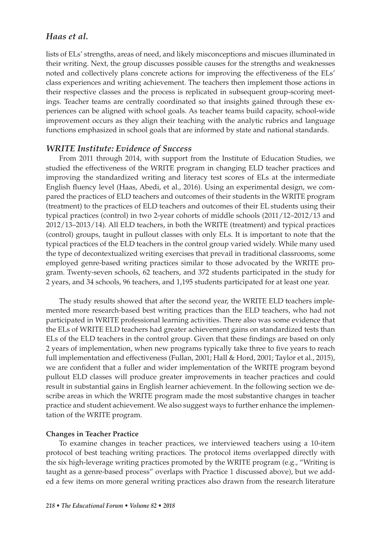lists of ELs' strengths, areas of need, and likely misconceptions and miscues illuminated in their writing. Next, the group discusses possible causes for the strengths and weaknesses noted and collectively plans concrete actions for improving the effectiveness of the ELs' class experiences and writing achievement. The teachers then implement those actions in their respective classes and the process is replicated in subsequent group-scoring meetings. Teacher teams are centrally coordinated so that insights gained through these experiences can be aligned with school goals. As teacher teams build capacity, school-wide improvement occurs as they align their teaching with the analytic rubrics and language functions emphasized in school goals that are informed by state and national standards.

#### *WRITE Institute: Evidence of Success*

 From 2011 through 2014, with support from the Institute of Education Studies, we studied the effectiveness of the WRITE program in changing ELD teacher practices and improving the standardized writing and literacy test scores of ELs at the intermediate English fluency level (Haas, Abedi, et al., 2016). Using an experimental design, we compared the practices of ELD teachers and outcomes of their students in the WRITE program (treatment) to the practices of ELD teachers and outcomes of their EL students using their typical practices (control) in two 2-year cohorts of middle schools (2011/12–2012/13 and 2012/13–2013/14). All ELD teachers, in both the WRITE (treatment) and typical practices (control) groups, taught in pullout classes with only ELs. It is important to note that the typical practices of the ELD teachers in the control group varied widely. While many used the type of decontextualized writing exercises that prevail in traditional classrooms, some employed genre-based writing practices similar to those advocated by the WRITE program. Twenty-seven schools, 62 teachers, and 372 students participated in the study for 2 years, and 34 schools, 96 teachers, and 1,195 students participated for at least one year.

 The study results showed that after the second year, the WRITE ELD teachers implemented more research-based best writing practices than the ELD teachers, who had not participated in WRITE professional learning activities. There also was some evidence that the ELs of WRITE ELD teachers had greater achievement gains on standardized tests than ELs of the ELD teachers in the control group. Given that these findings are based on only 2 years of implementation, when new programs typically take three to five years to reach full implementation and effectiveness (Fullan, 2001; Hall & Hord, 2001; Taylor et al., 2015), we are confident that a fuller and wider implementation of the WRITE program beyond pullout ELD classes will produce greater improvements in teacher practices and could result in substantial gains in English learner achievement. In the following section we describe areas in which the WRITE program made the most substantive changes in teacher practice and student achievement. We also suggest ways to further enhance the implementation of the WRITE program.

#### **Changes in Teacher Practice**

 To examine changes in teacher practices, we interviewed teachers using a 10-item protocol of best teaching writing practices. The protocol items overlapped directly with the six high-leverage writing practices promoted by the WRITE program (e.g., "Writing is taught as a genre-based process" overlaps with Practice 1 discussed above), but we added a few items on more general writing practices also drawn from the research literature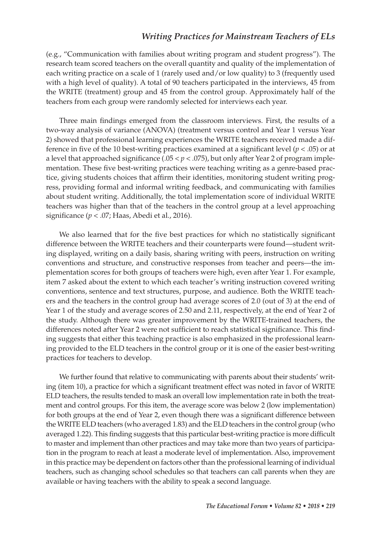(e.g., "Communication with families about writing program and student progress"). The research team scored teachers on the overall quantity and quality of the implementation of each writing practice on a scale of 1 (rarely used and/or low quality) to 3 (frequently used with a high level of quality). A total of 90 teachers participated in the interviews, 45 from the WRITE (treatment) group and 45 from the control group. Approximately half of the teachers from each group were randomly selected for interviews each year.

Three main findings emerged from the classroom interviews. First, the results of a two-way analysis of variance (ANOVA) (treatment versus control and Year 1 versus Year 2) showed that professional learning experiences the WRITE teachers received made a difference in five of the 10 best-writing practices examined at a significant level ( $p < .05$ ) or at a level that approached significance  $(.05 < p < .075)$ , but only after Year 2 of program implementation. These five best-writing practices were teaching writing as a genre-based practice, giving students choices that affirm their identities, monitoring student writing progress, providing formal and informal writing feedback, and communicating with families about student writing. Additionally, the total implementation score of individual WRITE teachers was higher than that of the teachers in the control group at a level approaching significance ( $p < .07$ ; Haas, Abedi et al., 2016).

We also learned that for the five best practices for which no statistically significant difference between the WRITE teachers and their counterparts were found—student writing displayed, writing on a daily basis, sharing writing with peers, instruction on writing conventions and structure, and constructive responses from teacher and peers—the implementation scores for both groups of teachers were high, even after Year 1. For example, item 7 asked about the extent to which each teacher's writing instruction covered writing conventions, sentence and text structures, purpose, and audience. Both the WRITE teachers and the teachers in the control group had average scores of 2.0 (out of 3) at the end of Year 1 of the study and average scores of 2.50 and 2.11, respectively, at the end of Year 2 of the study. Although there was greater improvement by the WRITE-trained teachers, the differences noted after Year 2 were not sufficient to reach statistical significance. This finding suggests that either this teaching practice is also emphasized in the professional learning provided to the ELD teachers in the control group or it is one of the easier best-writing practices for teachers to develop.

 We further found that relative to communicating with parents about their students' writing (item 10), a practice for which a significant treatment effect was noted in favor of WRITE ELD teachers, the results tended to mask an overall low implementation rate in both the treatment and control groups. For this item, the average score was below 2 (low implementation) for both groups at the end of Year 2, even though there was a significant difference between the WRITE ELD teachers (who averaged 1.83) and the ELD teachers in the control group (who averaged 1.22). This finding suggests that this particular best-writing practice is more difficult to master and implement than other practices and may take more than two years of participation in the program to reach at least a moderate level of implementation. Also, improvement in this practice may be dependent on factors other than the professional learning of individual teachers, such as changing school schedules so that teachers can call parents when they are available or having teachers with the ability to speak a second language.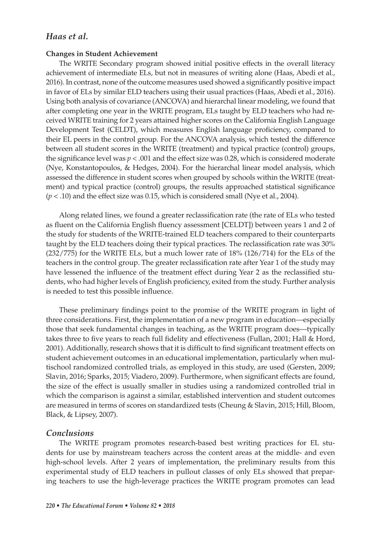#### **Changes in Student Achievement**

 The WRITE Secondary program showed initial positive effects in the overall literacy achievement of intermediate ELs, but not in measures of writing alone (Haas, Abedi et al., 2016). In contrast, none of the outcome measures used showed a significantly positive impact in favor of ELs by similar ELD teachers using their usual practices (Haas, Abedi et al., 2016). Using both analysis of covariance (ANCOVA) and hierarchal linear modeling, we found that after completing one year in the WRITE program, ELs taught by ELD teachers who had received WRITE training for 2 years attained higher scores on the California English Language Development Test (CELDT), which measures English language proficiency, compared to their EL peers in the control group. For the ANCOVA analysis, which tested the difference between all student scores in the WRITE (treatment) and typical practice (control) groups, the significance level was  $p < .001$  and the effect size was 0.28, which is considered moderate (Nye, Konstantopoulos, & Hedges, 2004). For the hierarchal linear model analysis, which assessed the difference in student scores when grouped by schools within the WRITE (treatment) and typical practice (control) groups, the results approached statistical significance  $(p < .10)$  and the effect size was 0.15, which is considered small (Nye et al., 2004).

Along related lines, we found a greater reclassification rate (the rate of ELs who tested as fluent on the California English fluency assessment [CELDT]) between years 1 and 2 of the study for students of the WRITE-trained ELD teachers compared to their counterparts taught by the ELD teachers doing their typical practices. The reclassification rate was 30% (232/775) for the WRITE ELs, but a much lower rate of 18% (126/714) for the ELs of the teachers in the control group. The greater reclassification rate after Year 1 of the study may have lessened the influence of the treatment effect during Year 2 as the reclassified students, who had higher levels of English proficiency, exited from the study. Further analysis is needed to test this possible influence.

These preliminary findings point to the promise of the WRITE program in light of three considerations. First, the implementation of a new program in education—especially those that seek fundamental changes in teaching, as the WRITE program does—typically takes three to five years to reach full fidelity and effectiveness (Fullan, 2001; Hall & Hord, 2001). Additionally, research shows that it is difficult to find significant treatment effects on student achievement outcomes in an educational implementation, particularly when multischool randomized controlled trials, as employed in this study, are used (Gersten, 2009; Slavin, 2016; Sparks, 2015; Viadero, 2009). Furthermore, when significant effects are found, the size of the effect is usually smaller in studies using a randomized controlled trial in which the comparison is against a similar, established intervention and student outcomes are measured in terms of scores on standardized tests (Cheung & Slavin, 2015; Hill, Bloom, Black, & Lipsey, 2007).

#### *Conclusions*

 The WRITE program promotes research-based best writing practices for EL students for use by mainstream teachers across the content areas at the middle- and even high-school levels. After 2 years of implementation, the preliminary results from this experimental study of ELD teachers in pullout classes of only ELs showed that preparing teachers to use the high-leverage practices the WRITE program promotes can lead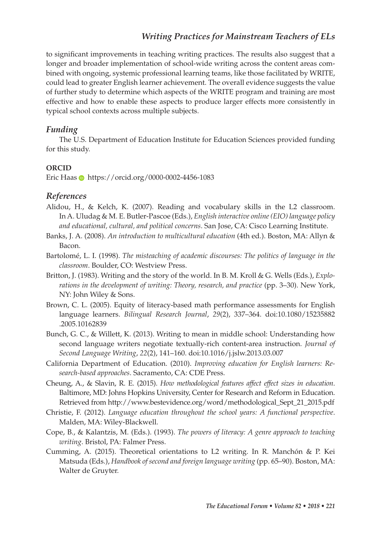to significant improvements in teaching writing practices. The results also suggest that a longer and broader implementation of school-wide writing across the content areas combined with ongoing, systemic professional learning teams, like those facilitated by WRITE, could lead to greater English learner achievement. The overall evidence suggests the value of further study to determine which aspects of the WRITE program and training are most effective and how to enable these aspects to produce larger effects more consistently in typical school contexts across multiple subjects.

#### *Funding*

 The U.S. Department of Education Institute for Education Sciences provided funding for this study.

#### **ORCID**

Eric Haas **https://orcid.org/0000-0002-4456-1083** 

#### *References*

- Alidou, H., & Kelch, K. (2007). Reading and vocabulary skills in the L2 classroom. In A. Uludag & M. E. Butler-Pascoe (Eds.), *English interactive online (EIO) language policy*  and educational, cultural, and political concerns. San Jose, CA: Cisco Learning Institute.
- Banks, J. A. (2008). *An introduction to multicultural education* (4th ed.). Boston, MA: Allyn & Bacon.
- Bartolomé, L. I. (1998). *The misteaching of academic discourses: The politics of language in the classroom*. Boulder, CO: Westview Press.
- Britton, J. (1983). Writing and the story of the world. In B. M. Kroll & G. Wells (Eds.), *Explo*rations in the development of writing: Theory, research, and practice (pp. 3–30). New York, NY: John Wiley & Sons.
- Brown, C. L. (2005). Equity of literacy-based math performance assessments for English language learners. *Bilingual Research Journal*, 29(2), 337-364. doi:10.1080/15235882 .2005.10162839
- Bunch, G. C., & Willett, K. (2013). Writing to mean in middle school: Understanding how second language writers negotiate textually-rich content-area instruction . *Journal of Second Language Writing* , *22* ( 2 ), 141 – 160 . doi: 10.1016/j.jslw.2013.03.007
- California Department of Education. (2010). *Improving education for English learners: Re*search-based approaches. Sacramento, CA: CDE Press.
- Cheung , A. , & Slavin , R. E. ( 2015 ). *How methodological features affect effect sizes in education* . Baltimore, MD: Johns Hopkins University, Center for Research and Reform in Education. Retrieved from http://www.bestevidence.org/word/methodological\_Sept\_21\_2015.pdf
- Christie, F. (2012). *Language education throughout the school years: A functional perspective.* Malden, MA: Wiley-Blackwell.
- Cope, B., & Kalantzis, M. (Eds.). (1993). *The powers of literacy: A genre approach to teaching writing*. Bristol, PA: Falmer Press.
- Cumming, A. (2015). Theoretical orientations to L2 writing. In R. Manchón & P. Kei Matsuda (Eds.), *Handbook of second and foreign language writing* (pp. 65–90). Boston, MA: Walter de Gruyter.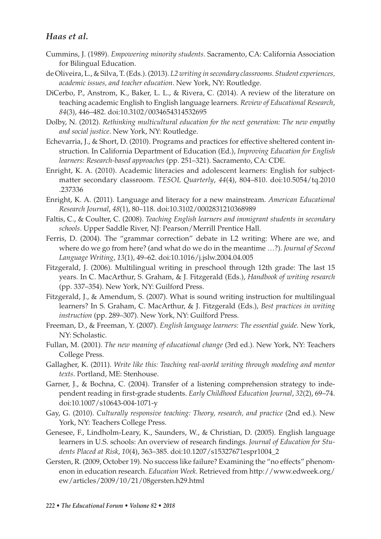- Cummins , J. ( 1989 ). *Empowering minority students* . Sacramento , CA : California Association for Bilingual Education.
- de Oliveira , L. , & Silva , T. (Eds.). ( 2013 ). *L2 writing in secondary classrooms. Student experiences, academic issues, and teacher education*. New York, NY: Routledge.
- DiCerbo, P., Anstrom, K., Baker, L. L., & Rivera, C. (2014). A review of the literature on teaching academic English to English language learners . *Review of Educational Research* , 84(3), 446-482. doi:10.3102/0034654314532695
- Dolby, N. (2012). *Rethinking multicultural education for the next generation: The new empathy* and social justice. New York, NY: Routledge.
- Echevarria, J., & Short, D. (2010). Programs and practices for effective sheltered content instruction . In California Department of Education (Ed.), *Improving Education for English learners: Research-based approaches* (pp. 251–321). Sacramento, CA: CDE.
- Enright, K. A. (2010). Academic literacies and adolescent learners: English for subjectmatter secondary classroom. *TESOL Quarterly*, 44(4), 804–810. doi:10.5054/tq.2010 .237336
- Enright, K. A. (2011). Language and literacy for a new mainstream. *American Educational Research Journal* , *48* ( 1 ), 80 – 118 . doi: 10.3102/0002831210368989
- Faltis, C., & Coulter, C. (2008). *Teaching English learners and immigrant students in secondary* schools. Upper Saddle River, NJ: Pearson/Merrill Prentice Hall.
- Ferris, D. (2004). The "grammar correction" debate in L2 writing: Where are we, and where do we go from here? (and what do we do in the meantime …?) . *Journal of Second Language Writing* , *13* ( 1 ), 49 – 62 . doi: 10.1016/j.jslw.2004.04.005
- Fitzgerald, J. (2006). Multilingual writing in preschool through 12th grade: The last 15 years. In C. MacArthur, S. Graham, & J. Fitzgerald (Eds.), *Handbook of writing research* (pp. 337–354). New York, NY: Guilford Press.
- Fitzgerald, J., & Amendum, S. (2007). What is sound writing instruction for multilingual learners? In S. Graham, C. MacArthur, & J. Fitzgerald (Eds.), *Best practices in writing instruction* (pp. 289–307). New York, NY: Guilford Press.
- Freeman, D., & Freeman, Y. (2007). *English language learners: The essential guide*. New York, NY: Scholastic.
- Fullan, M. (2001). *The new meaning of educational change* (3rd ed.). New York, NY: Teachers College Press.
- Gallagher, K. (2011). *Write like this: Teaching real-world writing through modeling and mentor* texts. Portland, ME: Stenhouse.
- Garner, J., & Bochna, C. (2004). Transfer of a listening comprehension strategy to independent reading in first-grade students. *Early Childhood Education Journal*, 32(2), 69-74. doi: 10.1007/s10643-004-1071-y
- Gay, G. (2010). *Culturally responsive teaching: Theory, research, and practice* (2nd ed.). New York, NY: Teachers College Press.
- Genesee, F., Lindholm-Leary, K., Saunders, W., & Christian, D. (2005). English language learners in U.S. schools: An overview of research findings. *Journal of Education for Students Placed at Risk* , *10* ( 4 ), 363 – 385 . doi: 10.1207/s15327671espr1004\_2
- Gersten, R. (2009, October 19). No success like failure? Examining the "no effects" phenomenon in education research . *Education Week* . Retrieved from http://www.edweek.org/ ew/articles/2009/10/21/08gersten.h29.html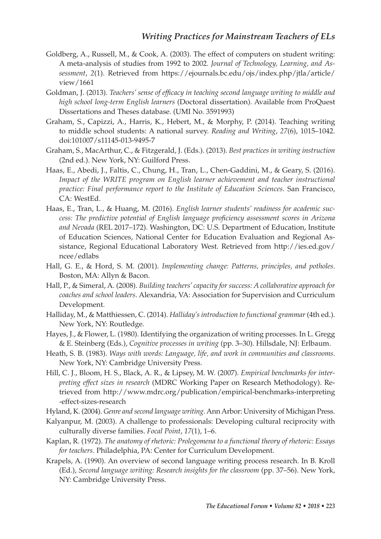- Goldberg, A., Russell, M., & Cook, A. (2003). The effect of computers on student writing: A meta-analysis of studies from 1992 to 2002 . *Journal of Technology, Learning, and Assessment* , *2* ( 1 ). Retrieved from https://ejournals.bc.edu/ojs/index.php/jtla/article/ view/1661
- Goldman, J. (2013). *Teachers' sense of efficacy in teaching second language writing to middle and high school long-term English learners* (Doctoral dissertation). Available from ProQuest Dissertations and Theses database. (UMI No. 3591993)
- Graham, S., Capizzi, A., Harris, K., Hebert, M., & Morphy, P. (2014). Teaching writing to middle school students: A national survey. *Reading and Writing*, 27(6), 1015-1042. doi: 101007/s11145-013-9495-7
- Graham , S. , MacArthur , C. , & Fitzgerald , J. (Eds.). ( 2013 ). *Best practices in writing instruction* (2nd ed.). New York, NY: Guilford Press.
- Haas, E., Abedi, J., Faltis, C., Chung, H., Tran, L., Chen-Gaddini, M., & Geary, S. (2016). *Impact of the WRITE program on English learner achievement and teacher instructional practice: Final performance report to the Institute of Education Sciences. San Francisco,* CA: WestEd.
- Haas, E., Tran, L., & Huang, M. (2016). *English learner students' readiness for academic success: The predictive potential of English language proficiency assessment scores in Arizona* and Nevada (REL 2017-172). Washington, DC: U.S. Department of Education, Institute of Education Sciences, National Center for Education Evaluation and Regional Assistance, Regional Educational Laboratory West . Retrieved from http://ies.ed.gov/ ncee/edlabs
- Hall, G. E., & Hord, S. M. (2001). *Implementing change: Patterns, principles, and potholes*. Boston, MA: Allyn & Bacon.
- Hall, P., & Simeral, A. (2008). *Building teachers' capacity for success: A collaborative approach for coaches and school leaders* . Alexandria , VA : Association for Supervision and Curriculum Development.
- Halliday , M. , & Matthiessen , C. ( 2014 ). *Halliday's introduction to functional grammar* ( 4th ed.). New York, NY: Routledge.
- Hayes, J., & Flower, L. (1980). Identifying the organization of writing processes. In L. Gregg & E. Steinberg (Eds.), *Cognitive processes in writing* (pp. 3-30). Hillsdale, NJ: Erlbaum.
- Heath , S. B. ( 1983 ). *Ways with words: Language, life, and work in communities and classrooms* . New York, NY: Cambridge University Press.
- Hill, C. J., Bloom, H. S., Black, A. R., & Lipsey, M. W. (2007). *Empirical benchmarks for interpreting effect sizes in research* (MDRC Working Paper on Research Methodology) . Retrieved from http://www.mdrc.org/publication/empirical-benchmarks-interpreting -effect-sizes-research
- Hyland, K. (2004). *Genre and second language writing*. Ann Arbor: University of Michigan Press.
- Kalyanpur, M. (2003). A challenge to professionals: Developing cultural reciprocity with culturally diverse families. *Focal Point*, 17(1), 1-6.
- Kaplan, R. (1972). *The anatomy of rhetoric: Prolegomena to a functional theory of rhetoric: Essays for teachers*. Philadelphia, PA: Center for Curriculum Development.
- Krapels, A. (1990). An overview of second language writing process research. In B. Kroll (Ed.), *Second language writing: Research insights for the classroom* (pp. 37–56). New York, NY: Cambridge University Press.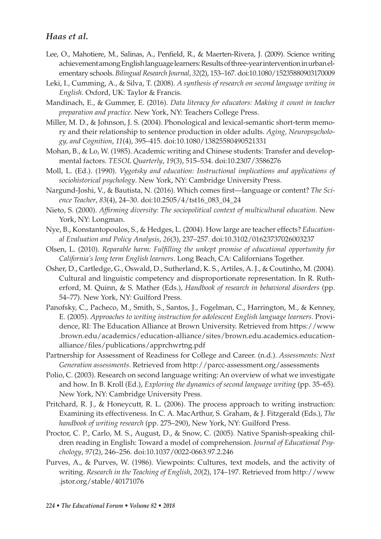- Lee, O., Mahotiere, M., Salinas, A., Penfield, R., & Maerten-Rivera, J. (2009). Science writing achievement among English language learners: Results of three-year intervention in urban elementary schools . *Bilingual Research Journal* , *32* ( 2 ), 153 – 167 . doi: 10.1080/15235880903170009
- Leki, I., Cumming, A., & Silva, T. (2008). A synthesis of research on second language writing in *English*. Oxford, UK: Taylor & Francis.
- Mandinach, E., & Gummer, E. (2016). *Data literacy for educators: Making it count in teacher* preparation and practice. New York, NY: Teachers College Press.
- Miller, M. D., & Johnson, J. S. (2004). Phonological and lexical-semantic short-term memory and their relationship to sentence production in older adults . *Aging, Neuropsychology, and Cognition* , *11* ( 4 ), 395 – 415 . doi: 10.1080/13825580490521331
- Mohan, B., & Lo, W. (1985). Academic writing and Chinese students: Transfer and developmental factors . *TESOL Quarterly* , *19* ( 3 ), 515 – 534 . doi: 10.2307/3586276
- Moll, L. (Ed.). (1990). *Vygotsky and education: Instructional implications and applications of* sociohistorical psychology. New York, NY: Cambridge University Press.
- Nargund-Joshi, V., & Bautista, N. (2016). Which comes first—language or content? *The Science Teacher* , *83* ( 4 ), 24 – 30 . doi: 10.2505/4/tst16\_083\_04\_24
- Nieto , S. ( 2000 ). *Affi rming diversity: The sociopolitical context of multicultural education* . New York, NY: Longman.
- Nye , B. , Konstantopoulos , S. , & Hedges , L. ( 2004 ). How large are teacher effects ? *Educational Evaluation and Policy Analysis* , *26* ( 3 ), 237 – 257 . doi: 10.3102/01623737026003237
- Olsen, L. (2010). *Reparable harm: Fulfilling the unkept promise of educational opportunity for* California's long term English learners. Long Beach, CA: Californians Together.
- Osher, D., Cartledge, G., Oswald, D., Sutherland, K. S., Artiles, A. J., & Coutinho, M. (2004). Cultural and linguistic competency and disproportionate representation . In R. Rutherford, M. Quinn, & S. Mather (Eds.), *Handbook of research in behavioral disorders* (pp. 54-77). New York, NY: Guilford Press.
- Panofsky, C., Pacheco, M., Smith, S., Santos, J., Fogelman, C., Harrington, M., & Kenney, E. ( 2005 ). *Approaches to writing instruction for adolescent English language learners* . Providence, RI: The Education Alliance at Brown University. Retrieved from https://www .brown.edu/academics/education-alliance/sites/brown.edu.academics.educationalliance/files/publications/apprchwrtng.pdf
- Partnership for Assessment of Readiness for College and Career . ( n.d. ). *Assessments: Next Generation assessments* . Retrieved from http://parcc-assessment.org/assessments
- Polio, C. (2003). Research on second language writing: An overview of what we investigate and how. In B. Kroll (Ed.), *Exploring the dynamics of second language writing* (pp. 35–65). New York, NY: Cambridge University Press.
- Pritchard, R. J., & Honeycutt, R. L. (2006). The process approach to writing instruction: Examining its effectiveness. In C. A. MacArthur, S. Graham, & J. Fitzgerald (Eds.), *The* handbook of writing research (pp. 275–290), New York, NY: Guilford Press.
- Proctor, C. P., Carlo, M. S., August, D., & Snow, C. (2005). Native Spanish-speaking children reading in English: Toward a model of comprehension . *Journal of Educational Psychology* , *97* ( 2 ), 246 – 256 . doi: 10.1037/0022-0663.97.2.246
- Purves, A., & Purves, W. (1986). Viewpoints: Cultures, text models, and the activity of writing. *Research in the Teaching of English, 20(2), 174-197*. Retrieved from http://www .jstor.org/stable/40171076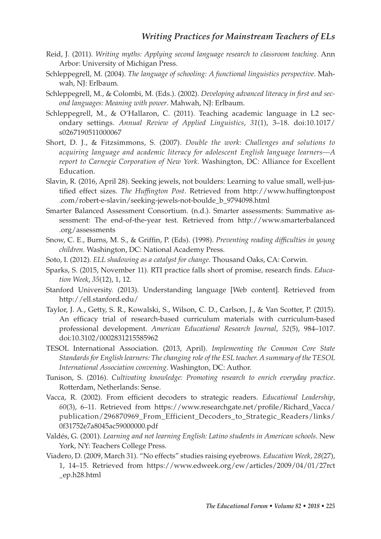- Reid , J. ( 2011 ). *Writing myths: Applying second language research to classroom teaching* . Ann Arbor: University of Michigan Press.
- Schleppegrell, M. (2004). *The language of schooling: A functional linguistics perspective*. Mahwah, NJ: Erlbaum.
- Schleppegrell, M., & Colombi, M. (Eds.). (2002). *Developing advanced literacy in first and sec*ond languages: Meaning with power. Mahwah, NJ: Erlbaum.
- Schleppegrell, M., & O'Hallaron, C. (2011). Teaching academic language in L2 secondary settings. Annual Review of Applied Linguistics, 31(1), 3-18. doi:10.1017/ s0267190511000067
- Short, D. J., & Fitzsimmons, S. (2007). *Double the work: Challenges and solutions to acquiring language and academic literacy for adolescent English language learners—A*  report to Carnegie Corporation of New York. Washington, DC: Alliance for Excellent Education.
- Slavin, R. (2016, April 28). Seeking jewels, not boulders: Learning to value small, well-justified effect sizes. *The Huffington Post*. Retrieved from http://www.huffingtonpost .com/robert-e-slavin/seeking-jewels-not-boulde\_b\_9794098.html
- Smarter Balanced Assessment Consortium . ( n.d. ). Smarter assessments: Summative assessment: The end-of-the-year test. Retrieved from http://www.smarterbalanced .org/assessments
- Snow, C. E., Burns, M. S., & Griffin, P. (Eds). (1998). *Preventing reading difficulties in young* children. Washington, DC: National Academy Press.
- Soto, I. (2012). *ELL shadowing as a catalyst for change*. Thousand Oaks, CA: Corwin.
- Sparks, S. (2015, November 11). RTI practice falls short of promise, research finds. *Education Week*, 35(12), 1, 12.
- Stanford University. (2013). Understanding language [Web content]. Retrieved from http://ell.stanford.edu/
- Taylor, J. A., Getty, S. R., Kowalski, S., Wilson, C. D., Carlson, J., & Van Scotter, P. (2015). An efficacy trial of research-based curriculum materials with curriculum-based professional development. *American Educational Research Journal*, 52(5), 984-1017. doi: 10.3102/0002831215585962
- TESOL International Association . ( 2013 , April ). *Implementing the Common Core State Standards for English learners: The changing role of the ESL teacher. A summary of the TESOL International Association convening*. Washington, DC: Author.
- Tunison, S. (2016). *Cultivating knowledge: Promoting research to enrich everyday practice*. Rotterdam, Netherlands: Sense.
- Vacca, R. (2002). From efficient decoders to strategic readers. *Educational Leadership*, 60(3), 6-11. Retrieved from https://www.researchgate.net/profile/Richard\_Vacca/ publication/296870969\_From\_Efficient\_Decoders\_to\_Strategic\_Readers/links/ 0f31752e7a8045ac59000000.pdf
- Valdés , G. ( 2001 ). *Learning and not learning English: Latino students in American schools* . New York, NY: Teachers College Press.
- Viadero, D. (2009, March 31). "No effects" studies raising eyebrows. *Education Week*, 28(27), 1 , 14 – 15 . Retrieved from https://www.edweek.org/ew/articles/2009/04/01/27rct \_ep.h28.html